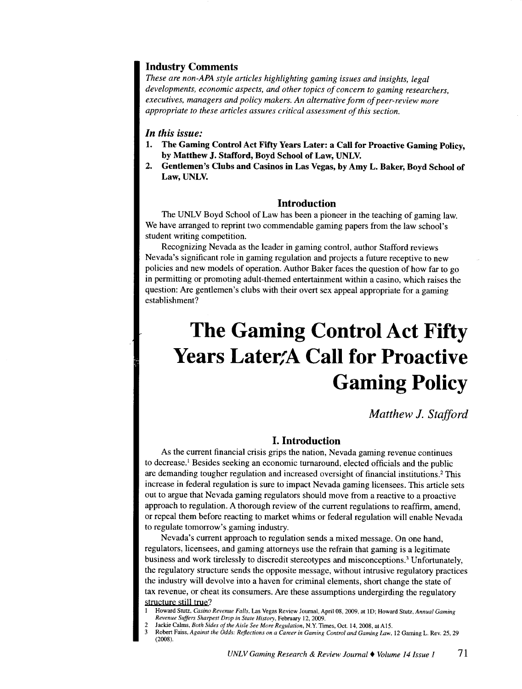# Industry Comments

*These are non-APA style articles highlighting gaming issues and insights, legal developments, economic aspects, and other topics of concern to gaming researchers, executives, managers and policy makers. An alternative form of peer-review more appropriate to these articles assures critical assessment of this section.* 

#### *In this issue:*

- 1. The Gaming Control Act Fifty Years Later: a Call for Proactive Gaming Policy, by Matthew J. Stafford, Boyd School of Law, UNLV.
- 2. Gentlemen's Clubs and Casinos in Las Vegas, by Amy L. Baker, Boyd School of Law, UNLV.

## Introduction

The UNLV Boyd School of Law has been a pioneer in the teaching of gaming law. We have arranged to reprint two commendable gaming papers from the law school's student writing competition.

Recognizing Nevada as the leader in gaming control, author Stafford reviews Nevada's significant role in gaming regulation and projects a future receptive to new policies and new models of operation. Author Baker faces the question of how far to go in permitting or promoting adult-themed entertainment within a casino, which raises the question: Are gentlemen's clubs with their overt sex appeal appropriate for a gaming establishment?

# **The Gaming Control Act Fifty Years Later:A Call for Proactive Gaming Policy**

*Matthew* J. *Stafford* 

## I. Introduction

As the current financial crisis grips the nation, Nevada gaming revenue continues to decrease.<sup>1</sup> Besides seeking an economic turnaround, elected officials and the public are demanding tougher regulation and increased oversight of financial institutions.<sup>2</sup> This increase in federal regulation is sure to impact Nevada gaming licensees. This article sets out to argue that Nevada gaming regulators should move from a reactive to a proactive approach to regulation. A thorough review of the current regulations to reaffirm, amend, or repeal them before reacting to market whims or federal regulation will enable Nevada to regulate tomorrow's gaming industry.

Nevada's current approach to regulation sends a mixed message. On one hand, regulators, licensees, and gaming attorneys use the refrain that gaming is a legitimate business and work tirelessly to discredit stereotypes and misconceptions.<sup>3</sup> Unfortunately, the regulatory structure sends the opposite message, without intrusive regulatory practices the industry will devolve into a haven for criminal elements, short change the state of tax revenue, or cheat its consumers. Are these assumptions undergirding the regulatory structure still true?

I Howard Stutz, *Casino Revenue Falls,* Las Vegas Review Journal, April 08, 2009, at JD; Howard Stutz, *Annual Gaming Revenue Suffers Sharpest Drop in State History,* February 12, 2009.

<sup>2</sup> Jackie Calms, *Both Sides of the Aisle See More Regulation,* N.Y. Times, Oct. 14, 2008, at A15.

<sup>3</sup> Robert Faiss, *Against the Odds: Reflections on a Career in Gaming Control and Gaming Law,* 12 Gaming L. Rev. 25, 29 (2008).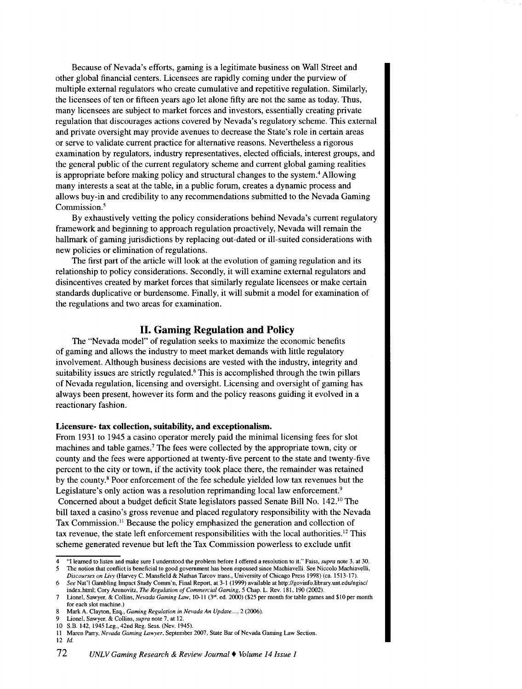Because of Nevada's efforts, gaming is a legitimate business on Wall Street and other global financial centers. Licensees are rapidly coming under the purview of multiple external regulators who create cumulative and repetitive regulation. Similarly, the licensees of ten or fifteen years ago let alone fifty are not the same as today. Thus, many licensees are subject to market forces and investors, essentially creating private regulation that discourages actions covered by Nevada's regulatory scheme. This external and private oversight may provide avenues to decrease the State's role in certain areas or serve to validate current practice for alternative reasons. Nevertheless a rigorous examination by regulators, industry representatives, elected officials, interest groups, and the general public of the current regulatory scheme and current global gaming realities is appropriate before making policy and structural changes to the system.<sup>4</sup> Allowing many interests a seat at the table, in a public forum, creates a dynamic process and allows buy-in and credibility to any recommendations submitted to the Nevada Gaming Commission.<sup>5</sup>

By exhaustively vetting the policy considerations behind Nevada's current regulatory framework and beginning to approach regulation proactively, Nevada will remain the hallmark of gaming jurisdictions by replacing out-dated or ill-suited considerations with new policies or elimination of regulations.

The first part of the article will look at the evolution of gaming regulation and its relationship to policy considerations. Secondly, it will examine external regulators and disincentives created by market forces that similarly regulate licensees or make certain standards duplicative or burdensome. Finally, it will submit a model for examination of the regulations and two areas for examination.

# **II. Gaming Regulation and Policy**

The "Nevada model" of regulation seeks to maximize the economic benefits of gaming and allows the industry to meet market demands with little regulatory involvement. Although business decisions are vested with the industry, integrity and suitability issues are strictly regulated.<sup>6</sup> This is accomplished through the twin pillars of Nevada regulation, licensing and oversight. Licensing and oversight of gaming has always been present, however its form and the policy reasons guiding it evolved in a reactionary fashion.

#### **Licensure- tax collection, suitability, and exceptionalism.**

From 1931 to 1945 a casino operator merely paid the minimal licensing fees for slot machines and table games.<sup>7</sup>The fees were collected by the appropriate town, city or county and the fees were apportioned at twenty-five percent to the state and twenty-five percent to the city or town, if the activity took place there, the remainder was retained by the county. 8 Poor enforcement of the fee schedule yielded low tax revenues but the Legislature's only action was a resolution reprimanding local law enforcement.<sup>9</sup> Concerned about a budget deficit State legislators passed Senate Bill No. 142.<sup>10</sup> The bill taxed a casino's gross revenue and placed regulatory responsibility with the Nevada Tax Commission. 11 Because the policy emphasized the generation and collection of tax revenue, the state left enforcement responsibilities with the local authorities.<sup>12</sup> This scheme generated revenue but left the Tax Commission powerless to exclude unfit

<sup>4 &</sup>quot;I learned to listen and make sure I understood the problem before I offered a resolution to it."' Faiss, *supra* note 3, at 30. 5 The notion that conflict is beneficial to good government has been espoused since Machiavelli. See Niccolo Machiavelli,

*Discourses on Livy* (Harvey C. Mansfield & Nathan Tarcov trans., University of Chicago Press 1998) (ca. 1513-17). 6 *See* Nat'! Gambling Impact Study Comm'n, Final Report, at 3-1 (1999) available at http://govinfo.library.unt.edu/ngisc/

index.htrnl; Cory Aronovitz, *The Regulation of Commercial Gaming,* 5 Chap. L. Rev. 181, 190 (2002). 7 Lionel, Sawyer, & Collins, *Nevada Gaming Law,* 10-11 (3"'. ed. 2000) (\$25 per month for table games and \$10 per month for each slot machine.)

<sup>8</sup> Mark A. Clayton, Esq., *Gaming Regulation in Nevada An Update...*, 2 (2006).

<sup>9</sup> Lionel, Sawyer, & Collins, *supra* note 7, at 12.

<sup>10</sup> S.B. 142, 1945 Leg., 42nd Reg. Sess. (Nev. 1945).

II Maren Parry, *Nevada Gaming Lawyer,* September 2007, State Bar of Nevada Gaming Law Section. 12 */d.*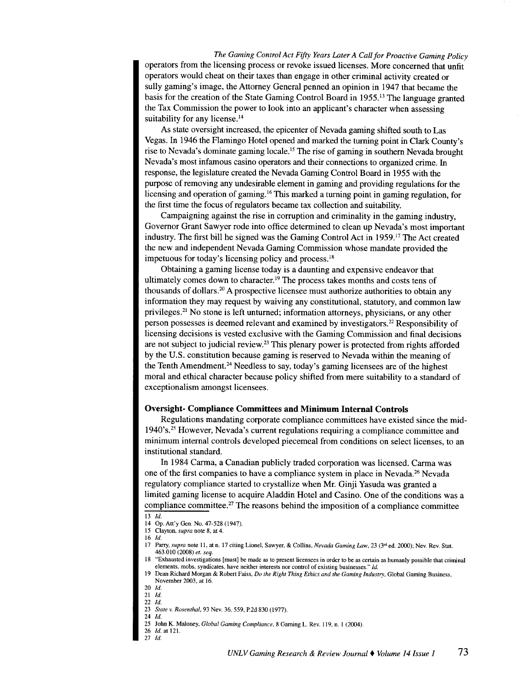*The Gaming Control Act Fifty Years Later A Call for Proactive Gaming Policy*  operators from the licensing process or revoke issued licenses. More concerned that unfit operators would cheat on their taxes than engage in other criminal activity created or sully gaming's image, the Attorney General penned an opinion in 1947 that became the basis for the creation of the State Gaming Control Board in 1955.<sup>13</sup> The language granted the Tax Commission the power to look into an applicant's character when assessing suitability for any license.<sup>14</sup>

As state oversight increased, the epicenter of Nevada gaming shifted south to Las Vegas. In 1946 the Flamingo Hotel opened and marked the turning point in Clark County's rise to Nevada's dominate gaming locale.15 The rise of gaming in southern Nevada brought Nevada's most infamous casino operators and their connections to organized crime. In response, the legislature created the Nevada Gaming Control Board in 1955 with the purpose of removing any undesirable element in gaming and providing regulations for the licensing and operation of gaming.16 This marked a turning point in gaming regulation, for the first time the focus of regulators became tax collection and suitability.

Campaigning against the rise in corruption and criminality in the gaming industry, Governor Grant Sawyer rode into office determined to clean up Nevada's most important industry. The first bill he signed was the Gaming Control Act in  $1959<sup>17</sup>$  The Act created the new and independent Nevada Gaming Commission whose mandate provided the impetuous for today's licensing policy and process.<sup>18</sup>

Obtaining a gaming license today is a daunting and expensive endeavor that ultimately comes down to character.<sup>19</sup> The process takes months and costs tens of thousands of dollars.<sup>20</sup>A prospective licensee must authorize authorities to obtain any information they may request by waiving any constitutional, statutory, and common law privileges.<sup>21</sup> No stone is left unturned; information attorneys, physicians, or any other person possesses is deemed relevant and examined by investigators.<sup>22</sup> Responsibility of licensing decisions is vested exclusive with the Gaming Commission and final decisions are not subject to judicial review.23 This plenary power is protected from rights afforded by the U.S. constitution because gaming is reserved to Nevada within the meaning of the Tenth Amendment.<sup>24</sup> Needless to say, today's gaming licensees are of the highest moral and ethical character because policy shifted from mere suitability to a standard of exceptionalism amongst licensees.

#### **Oversight- Compliance Committees and Minimum Internal Controls**

Regulations mandating corporate compliance committees have existed since the mid-1940's.25 However, Nevada's current regulations requiring a compliance committee and minimum internal controls developed piecemeal from conditions on select licenses, to an institutional standard.

In 1984 Carma, a Canadian publicly traded corporation was licensed. Carma was one of the first companies to have a compliance system in place in Nevada.<sup>26</sup> Nevada regulatory compliance started to crystallize when Mr. Ginji Yasuda was granted a limited gaming license to acquire Aladdin Hotel and Casino. One of the conditions was a compliance committee.<sup>27</sup> The reasons behind the imposition of a compliance committee

 $\overline{13}$  *Id.* 

<sup>14</sup> Op. Att'y Gen. No. 47-528 (1947).

<sup>15</sup> Clayton, *supra* note 8, at 4.

<sup>16</sup> *!d.* 

<sup>17</sup>Parry, *supra* note II, at n. 17 citing Lionel, Sawyer, & Collins, *Nevada Gaming Law,* 23 (3"' ed. 2000); Nev. Rev. Stat. 463.010 (2008) *et. seq.* 

<sup>18</sup>"Exhausted investigations [must] be made as to present licensees in order to be as certain as humanly possible that criminal elements, mobs, syndicates, have neither interests nor control of existing businesses." Id.

<sup>19</sup>Dean Richard Morgan & Robert Faiss, *Do the Right Thing Ethics and the Gaming Industry,* Global Gaming Business, November 2003, at 16.

<sup>20</sup> !d. 21 *!d.* 

<sup>22</sup> *!d.* 

<sup>23</sup> *State v. Rosenthal,* 93 Nev. 36, 559, P.2d 830 (1977).

<sup>24</sup> *!d.* 

<sup>25</sup> John K. Maloney, *Global Gaming Compliance*, 8 Gaming L. Rev. 119, n. 1 (2004).

<sup>26</sup> *Id.* at 121.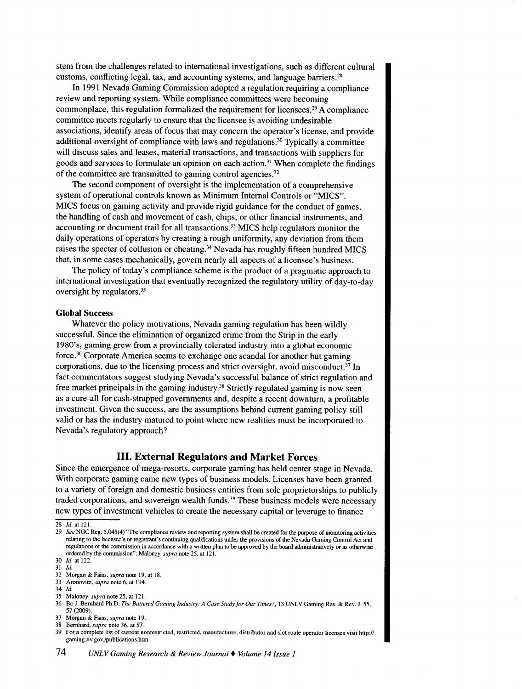stem from the challenges related to international investigations, such as different cultural customs, conflicting legal, tax, and accounting systems, and language barriers. <sup>28</sup>

In 1991 Nevada Gaming Commission adopted a regulation requiring a compliance review and reporting system. While compliance committees were becoming commonplace, this regulation formalized the requirement for licensees.<sup>29</sup> A compliance committee meets regularly to ensure that the licensee is avoiding undesirable associations, identify areas of focus that may concern the operator's license, and provide additional oversight of compliance with laws and regulations.<sup>30</sup> Typically a committee will discuss sales and leases, material transactions, and transactions with suppliers for goods and services to formulate an opinion on each action.<sup>31</sup> When complete the findings of the committee are transmitted to gaming control agencies. <sup>32</sup>

The second component of oversight is the implementation of a comprehensive system of operational controls known as Minimum Internal Controls or "MICS". MICS focus on gaming activity and provide rigid guidance for the conduct of games, the handling of cash and movement of cash, chips, or other financial instruments, and accounting or document trail for all transactions. <sup>33</sup>MICS help regulators monitor the daily operations of operators by creating a rough uniformity, any deviation from them raises the specter of collusion or cheating.<sup>34</sup> Nevada has roughly fifteen hundred MICS that, in some cases mechanically, govern nearly all aspects of a licensee's business.

The policy of today's compliance scheme is the product of a pragmatic approach to international investigation that eventually recognized the regulatory utility of day-to-day oversight by regulators. <sup>35</sup>

#### **Global** Success

Whatever the policy motivations, Nevada gaming regulation has been wildly successful. Since the elimination of organized crime from the Strip in the early 1980's, gaming grew from a provincially tolerated industry into a global economic force.<sup>36</sup> Corporate America seems to exchange one scandal for another but gaming corporations, due to the licensing process and strict oversight, avoid misconduct.<sup>37</sup> In fact commentators suggest studying Nevada's successful balance of strict regulation and free market principals in the gaming industry. 38 Strictly regulated gaming is now seen as a cure-all for cash-strapped governments and, despite a recent downturn, a profitable investment. Given the success, are the assumptions behind current gaming policy still valid or has the industry matured to point where new realities must be incorporated to Nevada's regulatory approach?

## **III. External Regulators and Market Forces**

Since the emergence of mega-resorts, corporate gaming has held center stage in Nevada. With corporate gaming came new types of business models. Licenses have been granted to a variety of foreign and domestic business entities from sole proprietorships to publicly traded corporations, and sovereign wealth funds. 39 These business models were necessary new types of investment vehicles to create the necessary capital or leverage to finance

31 */d.* 

- 
- 34 *!d.*

37 Morgan & Faiss, *supra* note 19.

 $28$  *Id.* at 121.

<sup>29</sup>*See* NGC Reg. 5.045( 4) "The compliance review and reporting system shall be created for the purpose of monitoring activities relating to the licensee's or registrant's continuing qualifications under the provisions of the Nevada Gaming Control Act and regulations of the conunission in accordance with a written plan to be approved by the board administratively or as otherwise ordered by the commission"; Maloney, *supra* note 25, at 121.

<sup>30</sup> *!d.* at 122.

<sup>32</sup> Morgan & Faiss, *supra* note 19, at 18. 33 Aronovitz, *supra* note 6, at 194.

<sup>35</sup> Maloney, *supra* note 25, at 121.

<sup>36</sup> Bo J. Bernhard Ph.D, *The Battered Gaming Industry: A Case Study for Our Times?,* 13 UNLV Gaming Res. & Rev. J. 55, 57 (2009).

<sup>38</sup> Bernhard, *supra* note 36, at 57.

<sup>39</sup> For a complete list of current nonrestricted, restricted, manufacturer, distributor and slot route operator licenses visit http:// gaming.nv.gov./publications.htrn.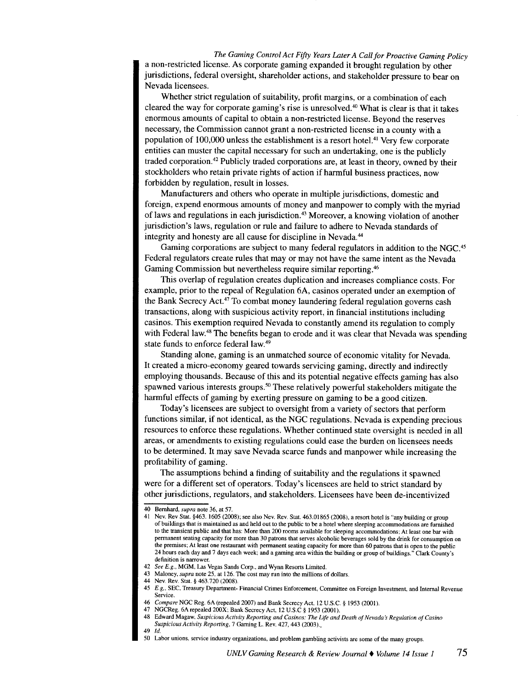*The Gaming Control Act Fifty Years Later A Call for Proactive Gaming Policy*  a non-restricted license. As corporate gaming expanded it brought regulation by other jurisdictions, federal oversight, shareholder actions, and stakeholder pressure to bear on Nevada licensees.

Whether strict regulation of suitability, profit margins, or a combination of each cleared the way for corporate gaming's rise is unresolved.<sup>40</sup>What is clear is that it takes enormous amounts of capital to obtain a non-restricted license. Beyond the reserves necessary, the Commission cannot grant a non-restricted license in a county with a population of  $100,000$  unless the establishment is a resort hotel.<sup>41</sup> Very few corporate entities can muster the capital necessary for such an undertaking, one is the publicly traded corporation.<sup>42</sup> Publicly traded corporations are, at least in theory, owned by their stockholders who retain private rights of action if harmful business practices, now forbidden by regulation, result in losses.

Manufacturers and others who operate in multiple jurisdictions, domestic and foreign, expend enormous amounts of money and manpower to comply with the myriad of laws and regulations in each jurisdiction.<sup>43</sup> Moreover, a knowing violation of another jurisdiction's laws, regulation or rule and failure to adhere to Nevada standards of integrity and honesty are all cause for discipline in Nevada. <sup>44</sup>

Gaming corporations are subject to many federal regulators in addition to the NGC.<sup>45</sup> Federal regulators create rules that may or may not have the same intent as the Nevada Gaming Commission but nevertheless require similar reporting. <sup>46</sup>

This overlap of regulation creates duplication and increases compliance costs. For example, prior to the repeal of Regulation 6A, casinos operated under an exemption of the Bank Secrecy Act.<sup>47</sup> To combat money laundering federal regulation governs cash transactions, along with suspicious activity report, in financial institutions including casinos. This exemption required Nevada to constantly amend its regulation to comply with Federal law.<sup>48</sup> The benefits began to erode and it was clear that Nevada was spending state funds to enforce federal law.<sup>49</sup>

Standing alone, gaming is an unmatched source of economic vitality for Nevada. It created a micro-economy geared towards servicing gaming, directly and indirectly employing thousands. Because of this and its potential negative effects gaming has also spawned various interests groups.<sup>50</sup> These relatively powerful stakeholders mitigate the harmful effects of gaming by exerting pressure on gaming to be a good citizen.

Today's licensees are subject to oversight from a variety of sectors that perform functions similar, if not identical, as the NGC regulations. Nevada is expending precious resources to enforce these regulations. Whether continued state oversight is needed in all areas, or amendments to existing regulations could ease the burden on licensees needs to be determined. It may save Nevada scarce funds and manpower while increasing the profitability of gaming.

The assumptions behind a finding of suitability and the regulations it spawned were for a different set of operators. Today's licensees are held to strict standard by other jurisdictions, regulators, and stakeholders. Licensees have been de-incentivized

<sup>40</sup> Bernhard, *supra* note 36, at 57.

<sup>41</sup>Nev. Rev Stat. §463. 1605 (2008); see also Nev. Rev. Stat. 463.01865 (2008), a resort hotel is "any building or group of buildings that is maintained as and held out to the public to be a hotel where sleeping accommodations are furnished to the transient public and that has: More than 200 rooms available for sleeping accommodations; At least one bar with permanent seating capacity for more than 30 patrons that serves alcoholic beverages sold by the drink for consumption on the premises; At least one restaurant with permanent seating capacity for more than <sup>60</sup>patrons that is open to the public 24 hours each day and 7 days each week; and a gaming area within the building or group of buildings." Clark County's definition is narrower.

See E.g., MGM, Las Vegas Sands Corp., and Wynn Resorts Limited.

<sup>43</sup> Maloney, *supra* note 25, at 126. The cost may run into the millions of dollars.

<sup>44</sup> Nev. Rev. Stat.§ 463.720 (2008).

<sup>45</sup>*E.g,* SEC, Treasury Department- Financial Crimes Enforcement, Committee on Foreign Investment, and Internal Revenue Service.

<sup>46</sup>*Compare* NGC Reg. 6A (repealed 2007) and Bank Secrecy Act, 12 U.S.C. § 1953 (2001).

<sup>47</sup> NGCReg. 6A repealed 200X; Bank Secrecy Act, 12 U.S.C § 1953 (2001).<br>48 Edward Magaw, Suspicious Activity Reporting and Casinos: The Life and

<sup>48</sup> Edward Magaw, *Suspicious Activity Reporting and Casinos: The Life and Death of Nevada's Regulation of Casino Suspicious Activity Reporting,* 7 Gaming L. Rev. 427, 443 (2003).\_

<sup>49</sup> *!d.* 

<sup>50</sup> Labor unions. service industry organizations, and problem gambling activists are some of the many groups.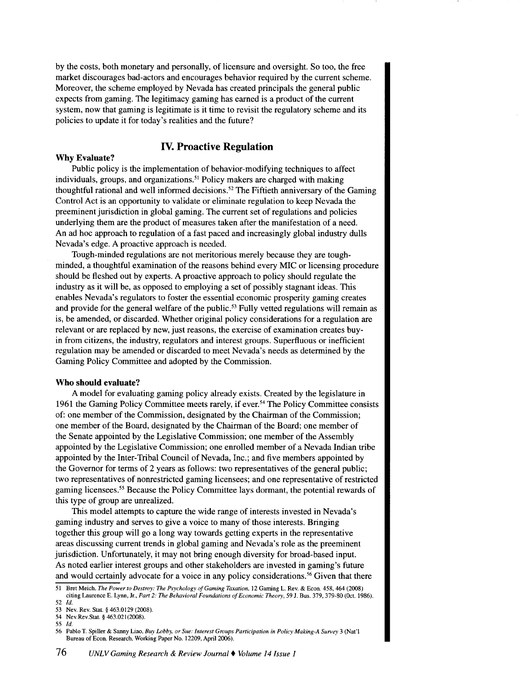by the costs, both monetary and personally, of licensure and oversight. So too, the free market discourages bad-actors and encourages behavior required by the current scheme. Moreover, the scheme employed by Nevada has created principals the general public expects from gaming. The legitimacy gaming has earned is a product of the current system, now that gaming is legitimate is it time to revisit the regulatory scheme and its policies to update it for today's realities and the future?

# **IV. Proactive Regulation**

#### **Why Evaluate?**

Public policy is the implementation of behavior-modifying techniques to affect individuals, groups, and organizations.<sup>51</sup> Policy makers are charged with making thoughtful rational and well informed decisions. 52 The Fiftieth anniversary of the Gaming Control Act is an opportunity to validate or eliminate regulation to keep Nevada the preeminent jurisdiction in global gaming. The current set of regulations and policies underlying them are the product of measures taken after the manifestation of a need. An ad hoc approach to regulation of a fast paced and increasingly global industry dulls Nevada's edge. A proactive approach is needed.

Tough-minded regulations are not meritorious merely because they are toughminded, a thoughtful examination of the reasons behind every MIC or licensing procedure should be fleshed out by experts. A proactive approach to policy should regulate the industry as it will be, as opposed to employing a set of possibly stagnant ideas. This enables Nevada's regulators to foster the essential economic prosperity gaming creates and provide for the general welfare of the public.<sup>53</sup> Fully vetted regulations will remain as is, be amended, or discarded. Whether original policy considerations for a regulation are relevant or are replaced by new, just reasons, the exercise of examination creates buyin from citizens, the industry, regulators and interest groups. Superfluous or inefficient regulation may be amended or discarded to meet Nevada's needs as determined by the Gaming Policy Committee and adopted by the Commission.

#### **Who should evaluate?**

A model for evaluating gaming policy already exists. Created by the legislature in 1961 the Gaming Policy Committee meets rarely, if ever.<sup>54</sup> The Policy Committee consists of: one member of the Commission, designated by the Chairman of the Commission; one member of the Board, designated by the Chairman of the Board; one member of the Senate appointed by the Legislative Commission; one member of the Assembly appointed by the Legislative Commission; one enrolled member of a Nevada Indian tribe appointed by the Inter-Tribal Council of Nevada, Inc.; and five members appointed by the Governor for terms of 2 years as follows: two representatives of the general public; two representatives of nonrestricted gaming licensees; and one representative of restricted gaming licensees.<sup>55</sup> Because the Policy Committee lays dormant, the potential rewards of this type of group are unrealized.

This model attempts to capture the wide range of interests invested in Nevada's gaming industry and serves to give a voice to many of those interests. Bringing together this group will go a long way towards getting experts in the representative areas discussing current trends in global gaming and Nevada's role as the preeminent jurisdiction. Unfortunately, it may not bring enough diversity for broad-based input. As noted earlier interest groups and other stakeholders are invested in gaming's future and would certainly advocate for a voice in any policy considerations.<sup>56</sup> Given that there

<sup>51</sup> Bret Meich, *The Power to Destroy: The Psychology of Gaming Taxation,* 12 Gaming L. Rev. & Econ. 458,464 (2008) citing Laurence E. Lynn, Jr., *Part 2: The Behavioral Foundations of Economic Theory,* 59 J. Bus. 379, 379-80 (Oct. 1986). 52 *!d.* 

<sup>53</sup> Nev. Rev. Stat. § 463.0129 (2008).

<sup>54</sup> Nev.Rev.Stat. § 463.021(2008).

<sup>55</sup> *!d.* 

<sup>56</sup> Pablo T. Spiller & Sanoy Liao, *Buy Lobby, or Sue: Interest Groups Participation in Policy Making-A Survey* 3 (Nat'! Bureau of Econ. Research, Working Paper No. 12209, April 2006).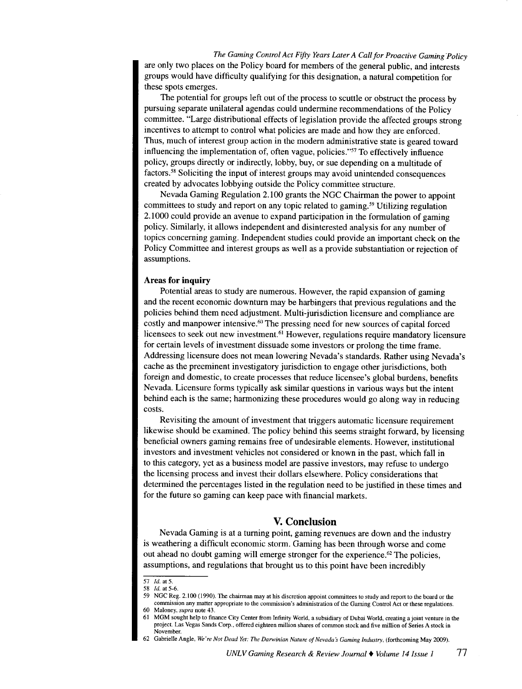*The Gaming Control Act Fifty Years Later A Call for Proactive Gaming Policy*  are only two places on the Policy board for members of the general public, and interests groups would have difficulty qualifying for this designation, a natural competition for these spots emerges.

The potential for groups left out of the process to scuttle or obstruct the process by pursuing separate unilateral agendas could undermine recommendations of the Policy committee. "Large distributional effects of legislation provide the affected groups strong incentives to attempt to control what policies are made and how they are enforced. Thus, much of interest group action in the modern administrative state is geared toward influencing the implementation of, often vague, policies."<sup>57</sup> To effectively influence policy, groups directly or indirectly, lobby, buy, or sue depending on a multitude of factors.<sup>58</sup> Soliciting the input of interest groups may avoid unintended consequences created by advocates lobbying outside the Policy committee structure.

Nevada Gaming Regulation 2.100 grants the NGC Chairman the power to appoint committees to study and report on any topic related to gaming.<sup>59</sup> Utilizing regulation 2.1000 could provide an avenue to expand participation in the formulation of gaming policy. Similarly, it allows independent and disinterested analysis for any number of topics concerning gaming. Independent studies could provide an important check on the Policy Committee and interest groups as well as a provide substantiation or rejection of assumptions.

#### **Areas for inquiry**

Potential areas to study are numerous. However, the rapid expansion of gaming and the recent economic downturn may be harbingers that previous regulations and the policies behind them need adjustment. Multi-jurisdiction licensure and compliance are costly and manpower intensive.<sup>60</sup>The pressing need for new sources of capital forced licensees to seek out new investment.<sup>61</sup> However, regulations require mandatory licensure for certain levels of investment dissuade some investors or prolong the time frame. Addressing licensure does not mean lowering Nevada's standards. Rather using Nevada's cache as the preeminent investigatory jurisdiction to engage other jurisdictions, both foreign and domestic, to create processes that reduce licensee's global burdens, benefits Nevada. Licensure forms typically ask similar questions in various ways but the intent behind each is the same; harmonizing these procedures would go along way in reducing costs.

Revisiting the amount of investment that triggers automatic licensure requirement likewise should be examined. The policy behind this seems straight forward, by licensing beneficial owners gaming remains free of undesirable elements. However, institutional investors and investment vehicles not considered or known in the past, which fall in to this category, yet as a business model are passive investors, may refuse to undergo the licensing process and invest their dollars elsewhere. Policy considerations that determined the percentages listed in the regulation need to be justified in these times and for the future so gaming can keep pace with financial markets.

## **V. Conclusion**

Nevada Gaming is at a turning point, gaming revenues are down and the industry is weathering a difficult economic storm. Gaming has been through worse and come out ahead no doubt gaming will emerge stronger for the experience.<sup>62</sup> The policies, assumptions, and regulations that brought us to this point have been incredibly

59 NGC Reg. 2.100 (1990). The chairman may at his discretion appoint committees to study and report to the board or the commission any matter appropriate to the commission's administration of the Gaming Control Act or these regulations.

<sup>57</sup> *Id.* at 5.

<sup>58</sup> *ld.* at 5-6.

<sup>60</sup> Maloney, *supra* note 43.

<sup>61</sup>MGM sought help to finance City Center from Infinity World, a subsidiary of Dubai World, creating a joint venture in the project. Las Vegas Sands Corp .• offered eighteen million shares of common stock and five million of Series A stock in November.

<sup>62</sup> Gabrielle Angle, *We're Not Dead Yet: The Darwinian Nature of Nevada s Gaming Industry,* (forthcoming May 2009).